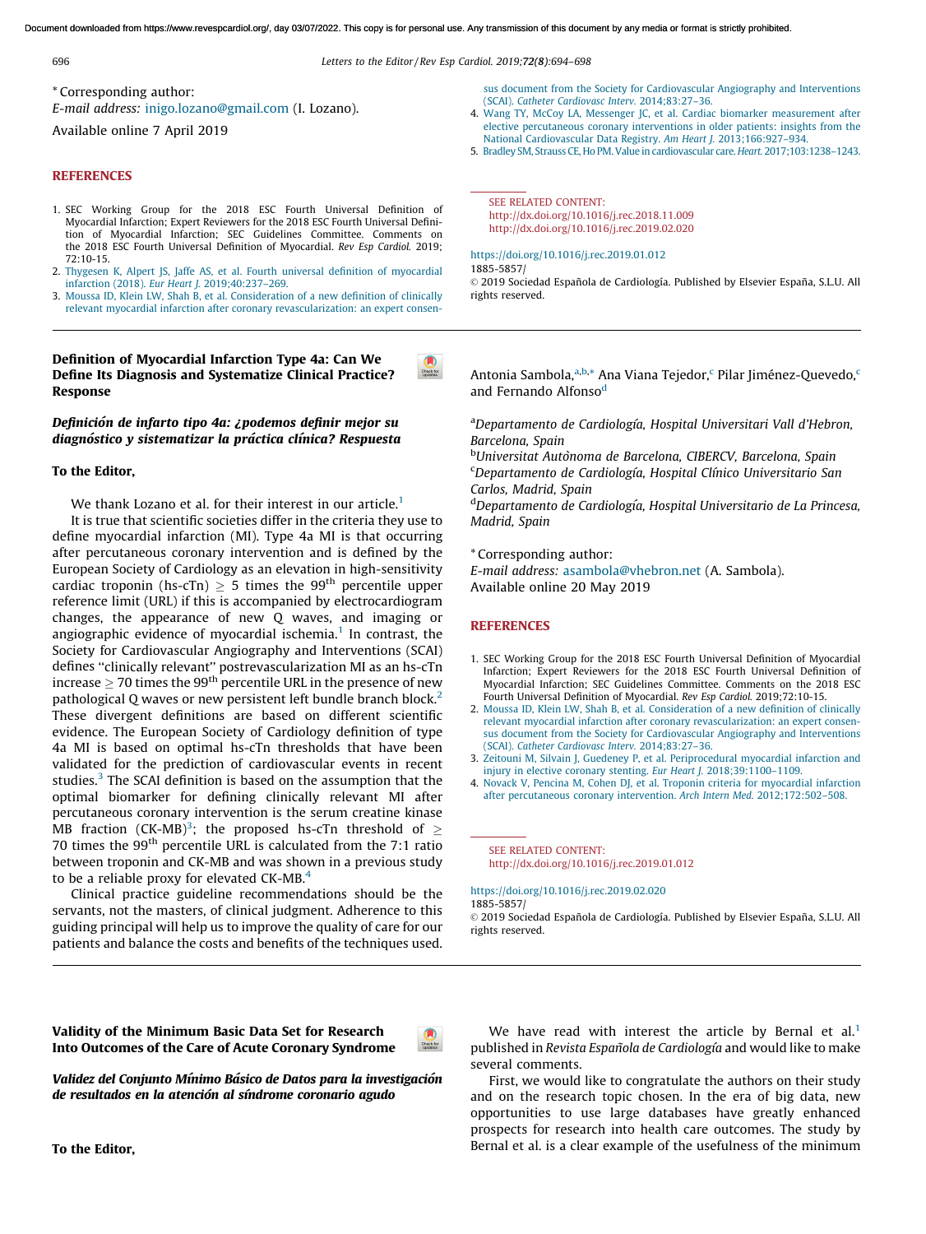<span id="page-0-0"></span>Document downloaded from https://www.revespcardiol.org/, day 03/07/2022. This copy is for personal use. Any transmission of this document by any media or format is strictly prohibited.

696 Letters to the Editor/ Rev Esp [Cardiol.](https://doi.org/10.1016/j.rec.2019.02.023) 2019;72(8):694–698

\* Corresponding author:

E-mail address: [inigo.lozano@gmail.com](mailto:inigo.lozano@gmail.com) (I. Lozano).

Available online 7 April 2019

#### **REFERENCES**

- 1. SEC Working Group for the 2018 ESC Fourth Universal Definition of Myocardial Infarction; Expert Reviewers for the 2018 ESC Fourth Universal Definition of Myocardial Infarction; SEC Guidelines Committee. Comments on the 2018 ESC Fourth Universal Definition of Myocardial. Rev Esp Cardiol. 2019; 72:10-15.
- 2. Thygesen K, Alpert JS, Jaffe AS, et al. Fourth universal definition of [myocardial](http://refhub.elsevier.com/S1885-5857(19)30077-5/sbref0035) infarction (2018). Eur Heart J. [2019;40:237–269](http://refhub.elsevier.com/S1885-5857(19)30077-5/sbref0035).
- 3. Moussa ID, Klein LW, Shah B, et al. [Consideration](http://refhub.elsevier.com/S1885-5857(19)30077-5/sbref0040) of a new definition of clinically relevant myocardial infarction after coronary [revascularization:](http://refhub.elsevier.com/S1885-5857(19)30077-5/sbref0040) an expert consen-

Definition of Myocardial Infarction Type 4a: Can We Define Its Diagnosis and Systematize Clinical Practice? Response

## Definición de infarto tipo 4a: ¿podemos definir mejor su diagnóstico y sistematizar la práctica clínica? Respuesta

#### To the Editor,

We thank Lozano et al. for their interest in our article.<sup>1</sup>

It is true that scientific societies differ in the criteria they use to define myocardial infarction (MI). Type 4a MI is that occurring after percutaneous coronary intervention and is defined by the European Society of Cardiology as an elevation in high-sensitivity cardiac troponin (hs-cTn)  $\geq$  5 times the 99<sup>th</sup> percentile upper reference limit (URL) if this is accompanied by electrocardiogra[m](http://crossmark.crossref.org/dialog/?doi=10.1016/j.rec.2019.02.023&domain=pdf) changes, the appearance of new Q waves, and imaging or angiographic evidence of myocardial ischemia. $1$  In contrast, the Society for Cardiovascular Angiography and Interventions (SCAI) defines ''clinically relevant'' postrevascularization MI as an hs-cTn increase  $\geq$  70 times the 99<sup>th</sup> percentile URL in the presence of new pathological Q waves or new persistent left bundle branch block.<sup>2</sup> These divergent definitions are based on different scientific evidence. The European Society of Cardiology definition of type 4a MI is based on optimal hs-cTn thresholds that have been validated for the prediction of cardiovascular events in recent studies.<sup>3</sup> The SCAI definition is based on the assumption that the optimal biomarker for defining clinically relevant MI after percutaneous coronary intervention is the serum creatine kinase MB fraction (CK-MB)<sup>3</sup>; the proposed hs-cTn threshold of  $\geq$ 70 times the  $99<sup>th</sup>$  percentile URL is calculated from the 7:1 ratio between troponin and CK-MB and was shown in a previous study to be a reliable proxy for elevated CK-MB.<sup>4</sup>

Clinical practice guideline recommendations should be the servants, not the masters, of clinical judgment. Adherence to this guiding principal will help us to improve the quality of care for our patients and balance the costs and benefits of the techniques [used.](http://crossmark.crossref.org/dialog/?doi=10.1016/j.rec.2019.02.023&domain=pdf)

(SCAI). Catheter Cardiovasc Interv. [2014;83:27–36](http://refhub.elsevier.com/S1885-5857(19)30077-5/sbref0040). 4. Wang TY, McCoy LA, Messenger JC, et al. Cardiac biomarker [measurement](http://refhub.elsevier.com/S1885-5857(19)30077-5/sbref0045) after

elective [percutaneous](http://refhub.elsevier.com/S1885-5857(19)30077-5/sbref0045) coronary interventions in older patients: insights from the National Cardiovascular Data Registry. Am Heart J. [2013;166:927–934.](http://refhub.elsevier.com/S1885-5857(19)30077-5/sbref0045)

sus document from the Society for [Cardiovascular](http://refhub.elsevier.com/S1885-5857(19)30077-5/sbref0040) Angiography and Interventions

5. Bradley SM, Strauss CE, Ho PM.Value in [cardiovascular](mailto:apcastellanos@icloud.com) care. Heart. [2017;103:1238–1243](http://refhub.elsevier.com/S1885-5857(19)30077-5/sbref0050).

SEE RELATED CONTENT: http://dx.doi.org/10.1016/j.rec.2018.11.009 http://dx.doi.org/10.1016/j.rec.2019.02.020

#### <https://doi.org/10.1016/j.rec.2019.01.012>

1885[-5857/](http://refhub.elsevier.com/S1885-5857(19)30150-1/sbref0030)

© 2019 Sociedad Española de Cardiología. Published by Elsevier España, S.L.U. All rights [reserved.](http://refhub.elsevier.com/S1885-5857(19)30150-1/sbref0035)

Antonia Sambola, a, b,\* Ana Viana Tejedor, c Pilar Jiménez-Quevedo, c and [Fernando](http://dx.doi.org/10.1016/j.carrev.2018.11.015) Alfonso<sup>d</sup>

<sup>a</sup>Departamento de Cardiología, Hospital Universitari Vall d'Hebron, Barcelona, Spain

<sup>b</sup>Universitat Autònoma de [Barcelona,](mailto:naumankhalid84@gmail.com) CIBERCV, Barcelona, Spain <sup>c</sup>Departamento de Cardiología, Hospital Clínico Universitario San Carlos, [Madrid,](https://doi.org/10.1016/j.rec.2019.02.023) Spain

<sup>d</sup>Departamento de Cardiología, Hospital Universitario de La Princesa, Madrid, Spain

\* [Corresponding](http://refhub.elsevier.com/S1885-5857(19)30151-3/sbref0030) author:

E-mail address: [asambola@vhebron.net](mailto:asambola@vhebron.net) (A. Sambola). Available online 20 May 2019

### **R[EFERENCES](http://refhub.elsevier.com/S1885-5857(19)30151-3/sbref0040)**

 $\bullet$ 

- 1. SEC Working Group for the 2018 ESC Fourth Universal Definition of [Myocardial](http://refhub.elsevier.com/S1885-5857(19)30151-3/sbref0045) [Infarction;](http://refhub.elsevier.com/S1885-5857(19)30151-3/sbref0045) Expert Reviewers for the 2018 ESC Fourth Universal Definition of [Myocardial](http://refhub.elsevier.com/S1885-5857(19)30151-3/sbref0045) Infarction; SEC Guidelines Committee. Comments on the 2018 ESC Fourth Universal Definition of Myocardial. Rev Esp Cardiol. [2019;72:10-15.](http://refhub.elsevier.com/S1885-5857(19)30151-3/sbref0050)
- 2. Moussa ID, Klein LW, Shah B, et al. [Consideration](http://refhub.elsevier.com/S1885-5857(19)30111-2/sbref0030) of a new definition of clinically relevant [myocardi](http://refhub.elsevier.com/S1885-5857(19)30151-3/sbref0050)al infarction after coronary [revascularization:](http://refhub.elsevier.com/S1885-5857(19)30111-2/sbref0030) an expert consensus document from the Society for [Cardiovascular](http://refhub.elsevier.com/S1885-5857(19)30111-2/sbref0030) Angiography and Interventions (SCAI). Catheter Cardiovasc Interv. [2014;83:27–36](http://refhub.elsevier.com/S1885-5857(19)30111-2/sbref0030).
- 3. Zeitouni M, Silvain J, Guedeney P, et al. [Periprocedural](http://refhub.elsevier.com/S1885-5857(19)30111-2/sbref0035) myocardial infarction and injury in elective coronary stenting. Eur Heart J. [2018;39:1100–1109.](http://refhub.elsevier.com/S1885-5857(19)30111-2/sbref0035)
- 4. Novack V, Pencina M, Cohen DJ, et al. Troponin criteria for [myocardial](http://refhub.elsevier.com/S1885-5857(19)30111-2/sbref0040) infarction after percutaneous coronary intervention. Arch Intern Med. [2012;172:502–508.](http://refhub.elsevier.com/S1885-5857(19)30111-2/sbref0040)

SEE RELATED CONTENT: http://dx.doi.org/10.1016/j.rec.2019.01.012

<https://doi.org/10.1016/j.rec.2019.02.020> 1885-5857/

© 2019 Sociedad Española de Cardiología. Published by Elsevier España, S.L.U. All rights reserved.

Validity of the Minimum Basic Data Set for Research Into Outcomes of the Care of Acute Coronary Syndrome

Validez del Conjunto Mínimo Básico de Datos para la investigación de resultados en la atención al síndrome coronario agudo

We have read with interest the article by Bernal et al.<sup>[1](#page-1-0)</sup> published in Revista Española de Cardiología and would like to make several comments.

First, we would like to congratulate the authors on their study and on the research topic chosen. In the era of big data, new opportunities to use large databases have greatly enhanced prospects for research into health care outcomes. The study by Bernal et al. is a clear example of the usefulness of the minimum